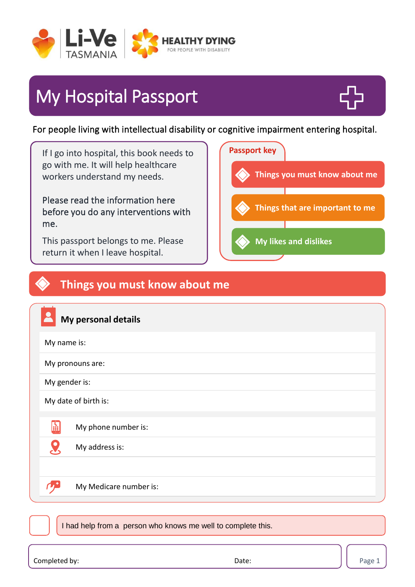

# My Hospital Passport



For people living with intellectual disability or cognitive impairment entering hospital.

If I go into hospital, this book needs to go with me. It will help healthcare workers understand my needs. Please read the information here before you do any interventions with me. This passport belongs to me. Please return it when I leave hospital.



### **Things you must know about me**

|                                                              | My personal details    |  |  |  |
|--------------------------------------------------------------|------------------------|--|--|--|
| My name is:                                                  |                        |  |  |  |
| My pronouns are:                                             |                        |  |  |  |
| My gender is:                                                |                        |  |  |  |
| My date of birth is:                                         |                        |  |  |  |
| H                                                            | My phone number is:    |  |  |  |
|                                                              | My address is:         |  |  |  |
|                                                              |                        |  |  |  |
|                                                              | My Medicare number is: |  |  |  |
|                                                              |                        |  |  |  |
| I had help from a person who knows me well to complete this. |                        |  |  |  |

Completed by:  $\qquad \qquad$  Date:  $\qquad \qquad$  Page 1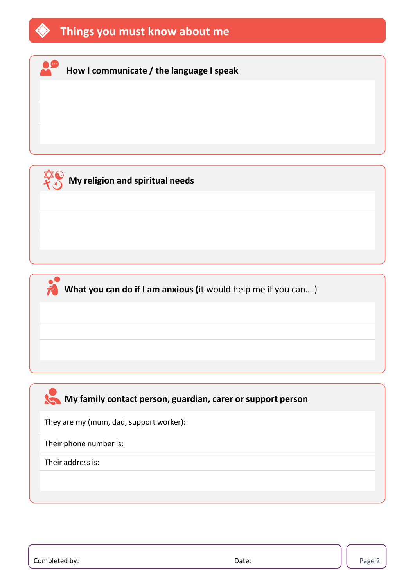

#### **How I communicate / the language I speak**

**My religion and spiritual needs** 

**What you can do if I am anxious (**it would help me if you can… )

#### **My family contact person, guardian, carer or support person**

They are my (mum, dad, support worker):

Their phone number is:

Their address is: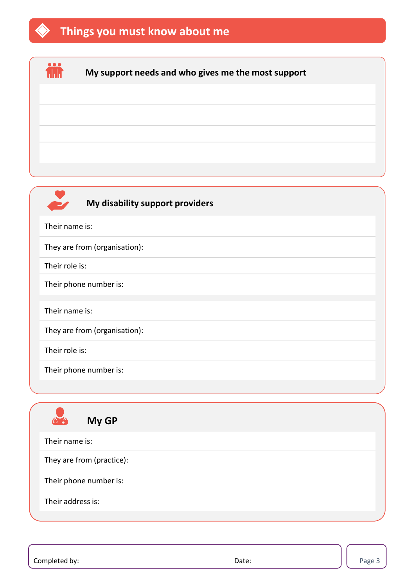### **Things you must know about me**





#### **My disability support providers**

Their name is:

They are from (organisation):

Their role is:

Their phone number is:

Their name is:

They are from (organisation):

Their role is:

Their phone number is:



Completed by:  $\qquad \qquad$  Date:  $\qquad \qquad$  Page 3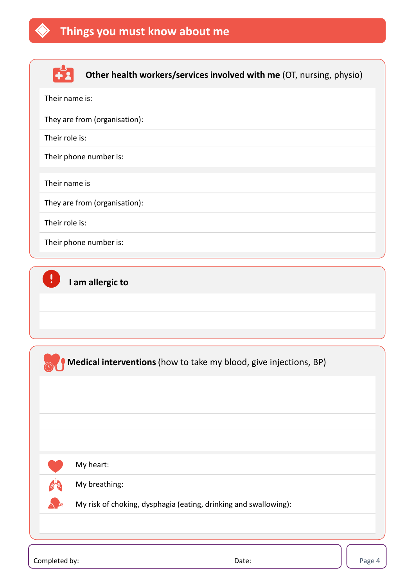



**Other health workers/services involved with me** (OT, nursing, physio)

| Their name is:                                                    |  |  |  |
|-------------------------------------------------------------------|--|--|--|
| They are from (organisation):                                     |  |  |  |
| Their role is:                                                    |  |  |  |
| Their phone number is:                                            |  |  |  |
| Their name is                                                     |  |  |  |
| They are from (organisation):                                     |  |  |  |
| Their role is:                                                    |  |  |  |
| Their phone number is:                                            |  |  |  |
|                                                                   |  |  |  |
|                                                                   |  |  |  |
| Medical interventions (how to take my blood, give injections, BP) |  |  |  |
|                                                                   |  |  |  |
|                                                                   |  |  |  |
|                                                                   |  |  |  |
|                                                                   |  |  |  |
| My heart:                                                         |  |  |  |
| My breathing:                                                     |  |  |  |
| My risk of choking, dysphagia (eating, drinking and swallowing):  |  |  |  |

Completed by: Date: Page 4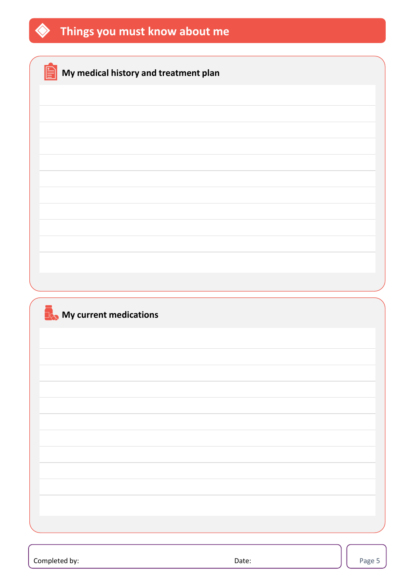

| My medical history and treatment plan |  |
|---------------------------------------|--|
|                                       |  |
|                                       |  |
|                                       |  |
|                                       |  |
|                                       |  |
|                                       |  |
|                                       |  |
|                                       |  |
|                                       |  |
| My current medications                |  |
|                                       |  |
|                                       |  |
|                                       |  |
|                                       |  |
|                                       |  |
|                                       |  |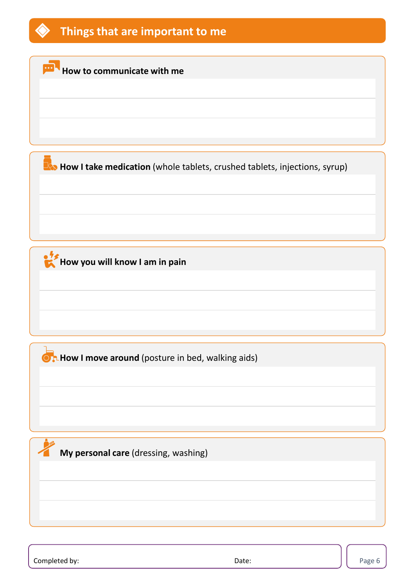

**How to communicate with me** 

**How I take medication** (whole tablets, crushed tablets, injections, syrup)

**How you will know I am in pain** 

**OR How I move around** (posture in bed, walking aids)

**My personal care** (dressing, washing)

Completed by: Date: Page 6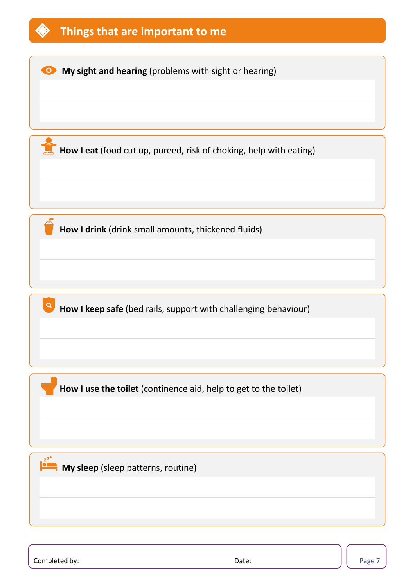

Completed by: Notice and Solid Completed by: Page 7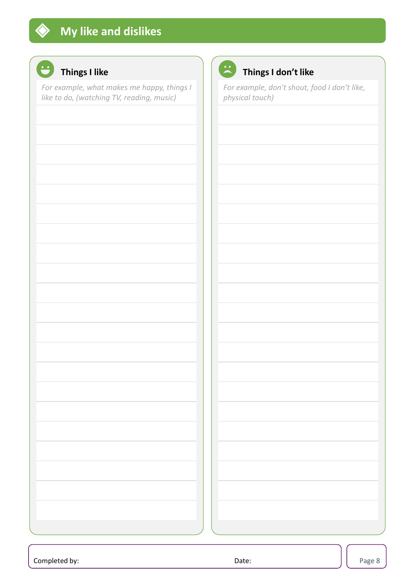

## **Things I like**

*For example, what makes me happy, things I like to do, (watching TV, reading, music)*



### **Things I don't like**

*For example, don't shout, food I don't like, physical touch)*

|       | Page 8 |
|-------|--------|
| Date: |        |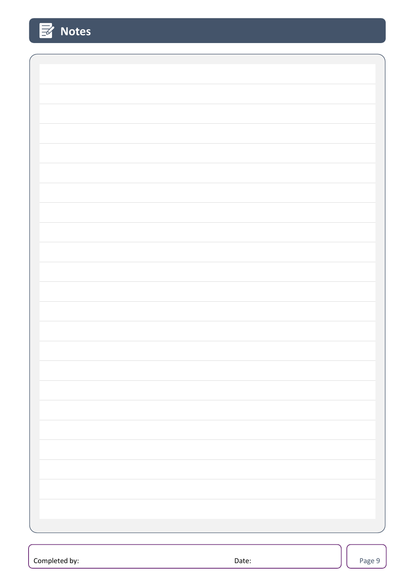| $\mathbb{E}$<br><b>Notes</b> |  |
|------------------------------|--|
|                              |  |
|                              |  |
|                              |  |
|                              |  |
|                              |  |
|                              |  |
|                              |  |
|                              |  |
|                              |  |
|                              |  |
|                              |  |
|                              |  |
|                              |  |
|                              |  |
|                              |  |
|                              |  |
|                              |  |
|                              |  |
|                              |  |
|                              |  |
|                              |  |
|                              |  |
|                              |  |
|                              |  |
|                              |  |
|                              |  |
|                              |  |
|                              |  |
|                              |  |
|                              |  |
|                              |  |
|                              |  |
|                              |  |
|                              |  |
|                              |  |
|                              |  |
|                              |  |
|                              |  |
|                              |  |

Completed by: Notice and Solid Base 3 and Completed by: Page 9